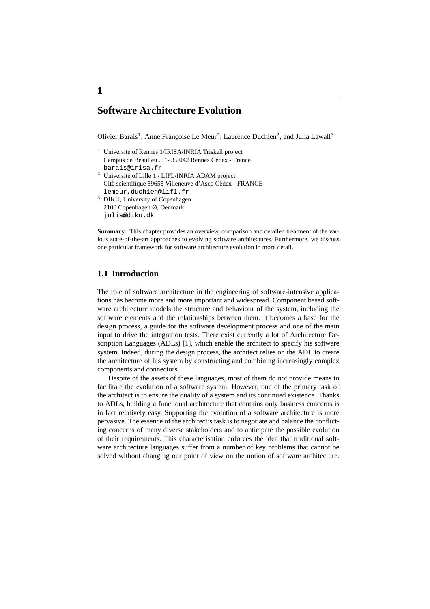# **Software Architecture Evolution**

Olivier Barais<sup>1</sup>, Anne Françoise Le Meur<sup>2</sup>, Laurence Duchien<sup>2</sup>, and Julia Lawall<sup>3</sup>

- $1$  Université of Rennes  $1/IRISA/INRIA$  Triskell project Campus de Beaulieu . F - 35 042 Rennes Cédex - France barais@irisa.fr  $^{\rm 2}$ Université of Lille 1 / LIFL/INRIA ADAM project Cité scientifique 59655 Villeneuve d'Ascq Cédex - FRANCE lemeur,duchien@lifl.fr <sup>3</sup> DIKU, University of Copenhagen
- 2100 Copenhagen Ø, Denmark julia@diku.dk

**Summary.** This chapter provides an overview, comparison and detailed treatment of the various state-of-the-art approaches to evolving software architectures. Furthermore, we discuss one particular framework for software architecture evolution in more detail.

# **1.1 Introduction**

The role of software architecture in the engineering of software-intensive applications has become more and more important and widespread. Component based software architecture models the structure and behaviour of the system, including the software elements and the relationships between them. It becomes a base for the design process, a guide for the software development process and one of the main input to drive the integration tests. There exist currently a lot of Architecture Description Languages (ADLs) [1], which enable the architect to specify his software system. Indeed, during the design process, the architect relies on the ADL to create the architecture of his system by constructing and combining increasingly complex components and connectors.

Despite of the assets of these languages, most of them do not provide means to facilitate the evolution of a software system. However, one of the primary task of the architect is to ensure the quality of a system and its continued existence .Thanks to ADLs, building a functional architecture that contains only business concerns is in fact relatively easy. Supporting the evolution of a software architecture is more pervasive. The essence of the architect's task is to negotiate and balance the conflicting concerns of many diverse stakeholders and to anticipate the possible evolution of their requirements. This characterisation enforces the idea that traditional software architecture languages suffer from a number of key problems that cannot be solved without changing our point of view on the notion of software architecture.

**1**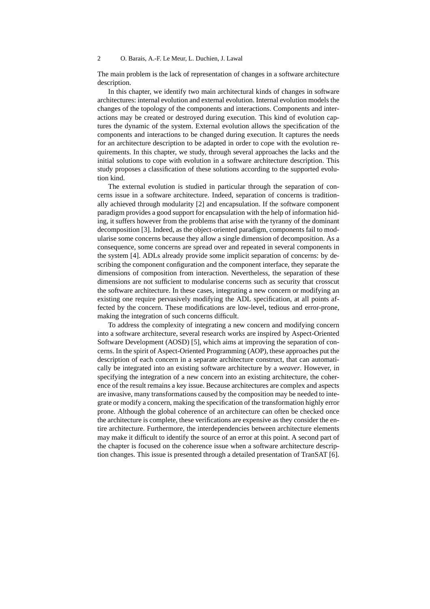The main problem is the lack of representation of changes in a software architecture description.

In this chapter, we identify two main architectural kinds of changes in software architectures: internal evolution and external evolution. Internal evolution models the changes of the topology of the components and interactions. Components and interactions may be created or destroyed during execution. This kind of evolution captures the dynamic of the system. External evolution allows the specification of the components and interactions to be changed during execution. It captures the needs for an architecture description to be adapted in order to cope with the evolution requirements. In this chapter, we study, through several approaches the lacks and the initial solutions to cope with evolution in a software architecture description. This study proposes a classification of these solutions according to the supported evolution kind.

The external evolution is studied in particular through the separation of concerns issue in a software architecture. Indeed, separation of concerns is traditionally achieved through modularity [2] and encapsulation. If the software component paradigm provides a good support for encapsulation with the help of information hiding, it suffers however from the problems that arise with the tyranny of the dominant decomposition [3]. Indeed, as the object-oriented paradigm, components fail to modularise some concerns because they allow a single dimension of decomposition. As a consequence, some concerns are spread over and repeated in several components in the system [4]. ADLs already provide some implicit separation of concerns: by describing the component configuration and the component interface, they separate the dimensions of composition from interaction. Nevertheless, the separation of these dimensions are not sufficient to modularise concerns such as security that crosscut the software architecture. In these cases, integrating a new concern or modifying an existing one require pervasively modifying the ADL specification, at all points affected by the concern. These modifications are low-level, tedious and error-prone, making the integration of such concerns difficult.

To address the complexity of integrating a new concern and modifying concern into a software architecture, several research works are inspired by Aspect-Oriented Software Development (AOSD) [5], which aims at improving the separation of concerns. In the spirit of Aspect-Oriented Programming (AOP), these approaches put the description of each concern in a separate architecture construct, that can automatically be integrated into an existing software architecture by a *weaver*. However, in specifying the integration of a new concern into an existing architecture, the coherence of the result remains a key issue. Because architectures are complex and aspects are invasive, many transformations caused by the composition may be needed to integrate or modify a concern, making the specification of the transformation highly error prone. Although the global coherence of an architecture can often be checked once the architecture is complete, these verifications are expensive as they consider the entire architecture. Furthermore, the interdependencies between architecture elements may make it difficult to identify the source of an error at this point. A second part of the chapter is focused on the coherence issue when a software architecture description changes. This issue is presented through a detailed presentation of TranSAT [6].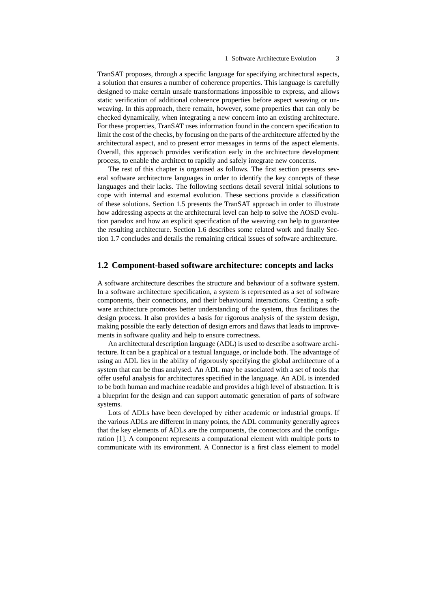TranSAT proposes, through a specific language for specifying architectural aspects, a solution that ensures a number of coherence properties. This language is carefully designed to make certain unsafe transformations impossible to express, and allows static verification of additional coherence properties before aspect weaving or unweaving. In this approach, there remain, however, some properties that can only be checked dynamically, when integrating a new concern into an existing architecture. For these properties, TranSAT uses information found in the concern specification to limit the cost of the checks, by focusing on the parts of the architecture affected by the architectural aspect, and to present error messages in terms of the aspect elements. Overall, this approach provides verification early in the architecture development process, to enable the architect to rapidly and safely integrate new concerns.

The rest of this chapter is organised as follows. The first section presents several software architecture languages in order to identify the key concepts of these languages and their lacks. The following sections detail several initial solutions to cope with internal and external evolution. These sections provide a classification of these solutions. Section 1.5 presents the TranSAT approach in order to illustrate how addressing aspects at the architectural level can help to solve the AOSD evolution paradox and how an explicit specification of the weaving can help to guarantee the resulting architecture. Section 1.6 describes some related work and finally Section 1.7 concludes and details the remaining critical issues of software architecture.

# **1.2 Component-based software architecture: concepts and lacks**

A software architecture describes the structure and behaviour of a software system. In a software architecture specification, a system is represented as a set of software components, their connections, and their behavioural interactions. Creating a software architecture promotes better understanding of the system, thus facilitates the design process. It also provides a basis for rigorous analysis of the system design, making possible the early detection of design errors and flaws that leads to improvements in software quality and help to ensure correctness.

An architectural description language (ADL) is used to describe a software architecture. It can be a graphical or a textual language, or include both. The advantage of using an ADL lies in the ability of rigorously specifying the global architecture of a system that can be thus analysed. An ADL may be associated with a set of tools that offer useful analysis for architectures specified in the language. An ADL is intended to be both human and machine readable and provides a high level of abstraction. It is a blueprint for the design and can support automatic generation of parts of software systems.

Lots of ADLs have been developed by either academic or industrial groups. If the various ADLs are different in many points, the ADL community generally agrees that the key elements of ADLs are the components, the connectors and the configuration [1]. A component represents a computational element with multiple ports to communicate with its environment. A Connector is a first class element to model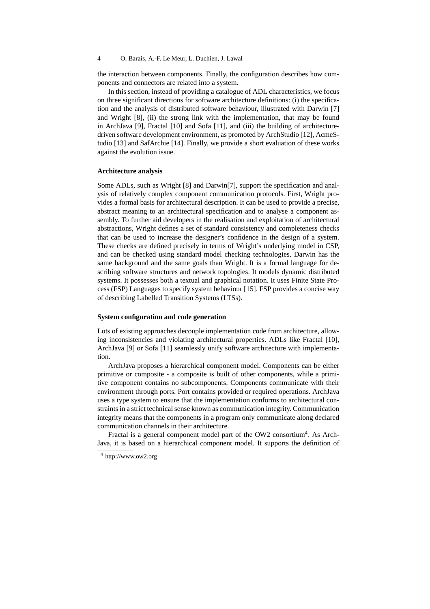the interaction between components. Finally, the configuration describes how components and connectors are related into a system.

In this section, instead of providing a catalogue of ADL characteristics, we focus on three significant directions for software architecture definitions: (i) the specification and the analysis of distributed software behaviour, illustrated with Darwin [7] and Wright [8], (ii) the strong link with the implementation, that may be found in ArchJava [9], Fractal [10] and Sofa [11], and (iii) the building of architecturedriven software development environment, as promoted by ArchStudio [12], AcmeStudio [13] and SafArchie [14]. Finally, we provide a short evaluation of these works against the evolution issue.

### **Architecture analysis**

Some ADLs, such as Wright [8] and Darwin[7], support the specification and analysis of relatively complex component communication protocols. First, Wright provides a formal basis for architectural description. It can be used to provide a precise, abstract meaning to an architectural specification and to analyse a component assembly. To further aid developers in the realisation and exploitation of architectural abstractions, Wright defines a set of standard consistency and completeness checks that can be used to increase the designer's confidence in the design of a system. These checks are defined precisely in terms of Wright's underlying model in CSP, and can be checked using standard model checking technologies. Darwin has the same background and the same goals than Wright. It is a formal language for describing software structures and network topologies. It models dynamic distributed systems. It possesses both a textual and graphical notation. It uses Finite State Process (FSP) Languages to specify system behaviour [15]. FSP provides a concise way of describing Labelled Transition Systems (LTSs).

#### **System configuration and code generation**

Lots of existing approaches decouple implementation code from architecture, allowing inconsistencies and violating architectural properties. ADLs like Fractal [10], ArchJava [9] or Sofa [11] seamlessly unify software architecture with implementation.

ArchJava proposes a hierarchical component model. Components can be either primitive or composite - a composite is built of other components, while a primitive component contains no subcomponents. Components communicate with their environment through ports. Port contains provided or required operations. ArchJava uses a type system to ensure that the implementation conforms to architectural constraints in a strict technical sense known as communication integrity. Communication integrity means that the components in a program only communicate along declared communication channels in their architecture.

Fractal is a general component model part of the OW2 consortium<sup>4</sup>. As Arch-Java, it is based on a hierarchical component model. It supports the definition of

<sup>4</sup> http://www.ow2.org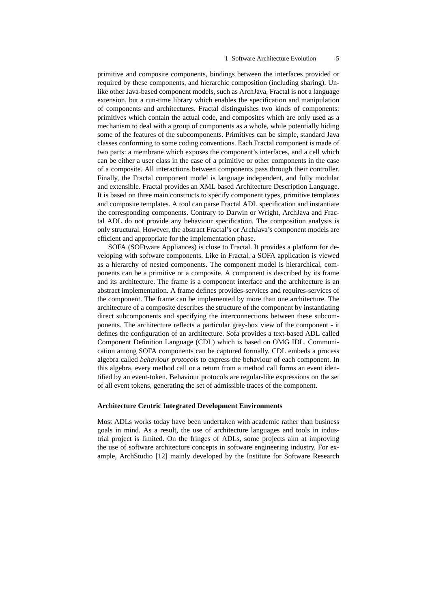primitive and composite components, bindings between the interfaces provided or required by these components, and hierarchic composition (including sharing). Unlike other Java-based component models, such as ArchJava, Fractal is not a language extension, but a run-time library which enables the specification and manipulation of components and architectures. Fractal distinguishes two kinds of components: primitives which contain the actual code, and composites which are only used as a mechanism to deal with a group of components as a whole, while potentially hiding some of the features of the subcomponents. Primitives can be simple, standard Java classes conforming to some coding conventions. Each Fractal component is made of two parts: a membrane which exposes the component's interfaces, and a cell which can be either a user class in the case of a primitive or other components in the case of a composite. All interactions between components pass through their controller. Finally, the Fractal component model is language independent, and fully modular and extensible. Fractal provides an XML based Architecture Description Language. It is based on three main constructs to specify component types, primitive templates and composite templates. A tool can parse Fractal ADL specification and instantiate the corresponding components. Contrary to Darwin or Wright, ArchJava and Fractal ADL do not provide any behaviour specification. The composition analysis is only structural. However, the abstract Fractal's or ArchJava's component models are efficient and appropriate for the implementation phase.

SOFA (SOFtware Appliances) is close to Fractal. It provides a platform for developing with software components. Like in Fractal, a SOFA application is viewed as a hierarchy of nested components. The component model is hierarchical, components can be a primitive or a composite. A component is described by its frame and its architecture. The frame is a component interface and the architecture is an abstract implementation. A frame defines provides-services and requires-services of the component. The frame can be implemented by more than one architecture. The architecture of a composite describes the structure of the component by instantiating direct subcomponents and specifying the interconnections between these subcomponents. The architecture reflects a particular grey-box view of the component - it defines the configuration of an architecture. Sofa provides a text-based ADL called Component Definition Language (CDL) which is based on OMG IDL. Communication among SOFA components can be captured formally. CDL embeds a process algebra called *behaviour protocols* to express the behaviour of each component. In this algebra, every method call or a return from a method call forms an event identified by an event-token. Behaviour protocols are regular-like expressions on the set of all event tokens, generating the set of admissible traces of the component.

#### **Architecture Centric Integrated Development Environments**

Most ADLs works today have been undertaken with academic rather than business goals in mind. As a result, the use of architecture languages and tools in industrial project is limited. On the fringes of ADLs, some projects aim at improving the use of software architecture concepts in software engineering industry. For example, ArchStudio [12] mainly developed by the Institute for Software Research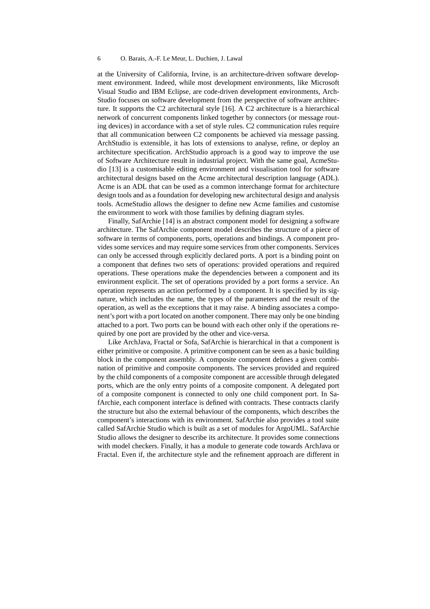at the University of California, Irvine, is an architecture-driven software development environment. Indeed, while most development environments, like Microsoft Visual Studio and IBM Eclipse, are code-driven development environments, Arch-Studio focuses on software development from the perspective of software architecture. It supports the C2 architectural style [16]. A C2 architecture is a hierarchical network of concurrent components linked together by connectors (or message routing devices) in accordance with a set of style rules. C2 communication rules require that all communication between C2 components be achieved via message passing. ArchStudio is extensible, it has lots of extensions to analyse, refine, or deploy an architecture specification. ArchStudio approach is a good way to improve the use of Software Architecture result in industrial project. With the same goal, AcmeStudio [13] is a customisable editing environment and visualisation tool for software architectural designs based on the Acme architectural description language (ADL). Acme is an ADL that can be used as a common interchange format for architecture design tools and as a foundation for developing new architectural design and analysis tools. AcmeStudio allows the designer to define new Acme families and customise the environment to work with those families by defining diagram styles.

Finally, SafArchie [14] is an abstract component model for designing a software architecture. The SafArchie component model describes the structure of a piece of software in terms of components, ports, operations and bindings. A component provides some services and may require some services from other components. Services can only be accessed through explicitly declared ports. A port is a binding point on a component that defines two sets of operations: provided operations and required operations. These operations make the dependencies between a component and its environment explicit. The set of operations provided by a port forms a service. An operation represents an action performed by a component. It is specified by its signature, which includes the name, the types of the parameters and the result of the operation, as well as the exceptions that it may raise. A binding associates a component's port with a port located on another component. There may only be one binding attached to a port. Two ports can be bound with each other only if the operations required by one port are provided by the other and vice-versa.

Like ArchJava, Fractal or Sofa, SafArchie is hierarchical in that a component is either primitive or composite. A primitive component can be seen as a basic building block in the component assembly. A composite component defines a given combination of primitive and composite components. The services provided and required by the child components of a composite component are accessible through delegated ports, which are the only entry points of a composite component. A delegated port of a composite component is connected to only one child component port. In SafArchie, each component interface is defined with contracts. These contracts clarify the structure but also the external behaviour of the components, which describes the component's interactions with its environment. SafArchie also provides a tool suite called SafArchie Studio which is built as a set of modules for ArgoUML. SafArchie Studio allows the designer to describe its architecture. It provides some connections with model checkers. Finally, it has a module to generate code towards ArchJava or Fractal. Even if, the architecture style and the refinement approach are different in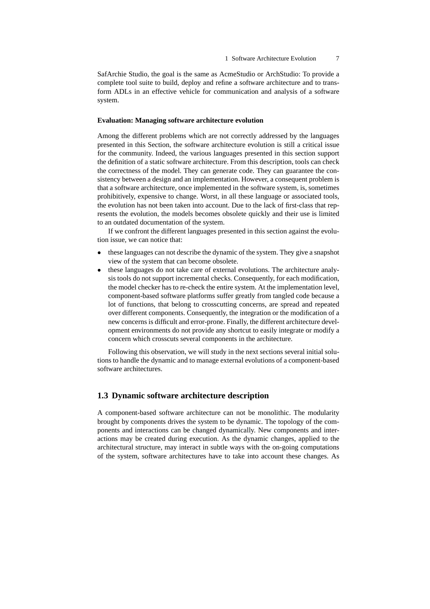SafArchie Studio, the goal is the same as AcmeStudio or ArchStudio: To provide a complete tool suite to build, deploy and refine a software architecture and to transform ADLs in an effective vehicle for communication and analysis of a software system.

#### **Evaluation: Managing software architecture evolution**

Among the different problems which are not correctly addressed by the languages presented in this Section, the software architecture evolution is still a critical issue for the community. Indeed, the various languages presented in this section support the definition of a static software architecture. From this description, tools can check the correctness of the model. They can generate code. They can guarantee the consistency between a design and an implementation. However, a consequent problem is that a software architecture, once implemented in the software system, is, sometimes prohibitively, expensive to change. Worst, in all these language or associated tools, the evolution has not been taken into account. Due to the lack of first-class that represents the evolution, the models becomes obsolete quickly and their use is limited to an outdated documentation of the system.

If we confront the different languages presented in this section against the evolution issue, we can notice that:

- these languages can not describe the dynamic of the system. They give a snapshot view of the system that can become obsolete.
- these languages do not take care of external evolutions. The architecture analysis tools do not support incremental checks. Consequently, for each modification, the model checker has to re-check the entire system. At the implementation level, component-based software platforms suffer greatly from tangled code because a lot of functions, that belong to crosscutting concerns, are spread and repeated over different components. Consequently, the integration or the modification of a new concerns is difficult and error-prone. Finally, the different architecture development environments do not provide any shortcut to easily integrate or modify a concern which crosscuts several components in the architecture.

Following this observation, we will study in the next sections several initial solutions to handle the dynamic and to manage external evolutions of a component-based software architectures.

# **1.3 Dynamic software architecture description**

A component-based software architecture can not be monolithic. The modularity brought by components drives the system to be dynamic. The topology of the components and interactions can be changed dynamically. New components and interactions may be created during execution. As the dynamic changes, applied to the architectural structure, may interact in subtle ways with the on-going computations of the system, software architectures have to take into account these changes. As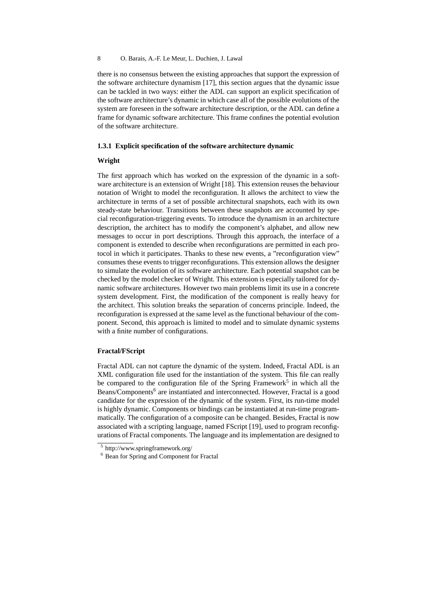there is no consensus between the existing approaches that support the expression of the software architecture dynamism [17], this section argues that the dynamic issue can be tackled in two ways: either the ADL can support an explicit specification of the software architecture's dynamic in which case all of the possible evolutions of the system are foreseen in the software architecture description, or the ADL can define a frame for dynamic software architecture. This frame confines the potential evolution of the software architecture.

# **1.3.1 Explicit specification of the software architecture dynamic**

### **Wright**

The first approach which has worked on the expression of the dynamic in a software architecture is an extension of Wright [18]. This extension reuses the behaviour notation of Wright to model the reconfiguration. It allows the architect to view the architecture in terms of a set of possible architectural snapshots, each with its own steady-state behaviour. Transitions between these snapshots are accounted by special reconfiguration-triggering events. To introduce the dynamism in an architecture description, the architect has to modify the component's alphabet, and allow new messages to occur in port descriptions. Through this approach, the interface of a component is extended to describe when reconfigurations are permitted in each protocol in which it participates. Thanks to these new events, a "reconfiguration view" consumes these events to trigger reconfigurations. This extension allows the designer to simulate the evolution of its software architecture. Each potential snapshot can be checked by the model checker of Wright. This extension is especially tailored for dynamic software architectures. However two main problems limit its use in a concrete system development. First, the modification of the component is really heavy for the architect. This solution breaks the separation of concerns principle. Indeed, the reconfiguration is expressed at the same level as the functional behaviour of the component. Second, this approach is limited to model and to simulate dynamic systems with a finite number of configurations.

# **Fractal/FScript**

Fractal ADL can not capture the dynamic of the system. Indeed, Fractal ADL is an XML configuration file used for the instantiation of the system. This file can really be compared to the configuration file of the Spring Framework<sup>5</sup> in which all the Beans/Components<sup>6</sup> are instantiated and interconnected. However, Fractal is a good candidate for the expression of the dynamic of the system. First, its run-time model is highly dynamic. Components or bindings can be instantiated at run-time programmatically. The configuration of a composite can be changed. Besides, Fractal is now associated with a scripting language, named FScript [19], used to program reconfigurations of Fractal components. The language and its implementation are designed to

<sup>5</sup> http://www.springframework.org/

<sup>&</sup>lt;sup>6</sup> Bean for Spring and Component for Fractal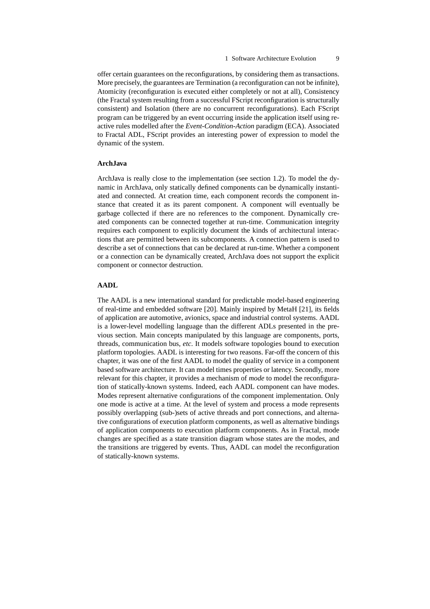offer certain guarantees on the reconfigurations, by considering them as transactions. More precisely, the guarantees are Termination (a reconfiguration can not be infinite), Atomicity (reconfiguration is executed either completely or not at all), Consistency (the Fractal system resulting from a successful FScript reconfiguration is structurally consistent) and Isolation (there are no concurrent reconfigurations). Each FScript program can be triggered by an event occurring inside the application itself using reactive rules modelled after the *Event-Condition-Action* paradigm (ECA). Associated to Fractal ADL, FScript provides an interesting power of expression to model the dynamic of the system.

#### **ArchJava**

ArchJava is really close to the implementation (see section 1.2). To model the dynamic in ArchJava, only statically defined components can be dynamically instantiated and connected. At creation time, each component records the component instance that created it as its parent component. A component will eventually be garbage collected if there are no references to the component. Dynamically created components can be connected together at run-time. Communication integrity requires each component to explicitly document the kinds of architectural interactions that are permitted between its subcomponents. A connection pattern is used to describe a set of connections that can be declared at run-time. Whether a component or a connection can be dynamically created, ArchJava does not support the explicit component or connector destruction.

#### **AADL**

The AADL is a new international standard for predictable model-based engineering of real-time and embedded software [20]. Mainly inspired by MetaH [21], its fields of application are automotive, avionics, space and industrial control systems. AADL is a lower-level modelling language than the different ADLs presented in the previous section. Main concepts manipulated by this language are components, ports, threads, communication bus, *etc*. It models software topologies bound to execution platform topologies. AADL is interesting for two reasons. Far-off the concern of this chapter, it was one of the first AADL to model the quality of service in a component based software architecture. It can model times properties or latency. Secondly, more relevant for this chapter, it provides a mechanism of *mode* to model the reconfiguration of statically-known systems. Indeed, each AADL component can have modes. Modes represent alternative configurations of the component implementation. Only one mode is active at a time. At the level of system and process a mode represents possibly overlapping (sub-)sets of active threads and port connections, and alternative configurations of execution platform components, as well as alternative bindings of application components to execution platform components. As in Fractal, mode changes are specified as a state transition diagram whose states are the modes, and the transitions are triggered by events. Thus, AADL can model the reconfiguration of statically-known systems.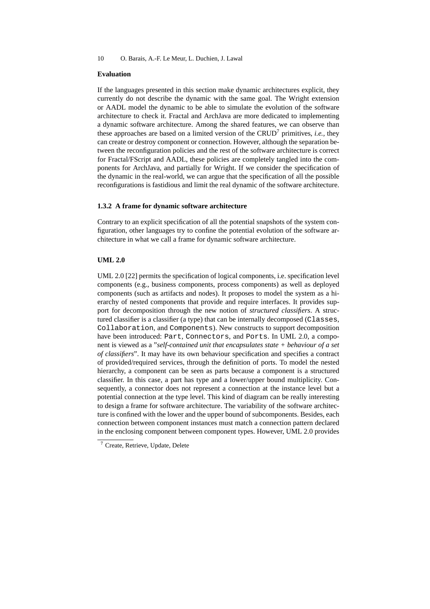# **Evaluation**

If the languages presented in this section make dynamic architectures explicit, they currently do not describe the dynamic with the same goal. The Wright extension or AADL model the dynamic to be able to simulate the evolution of the software architecture to check it. Fractal and ArchJava are more dedicated to implementing a dynamic software architecture. Among the shared features, we can observe than these approaches are based on a limited version of the CRUD<sup>7</sup> primitives, *i.e.,* they can create or destroy component or connection. However, although the separation between the reconfiguration policies and the rest of the software architecture is correct for Fractal/FScript and AADL, these policies are completely tangled into the components for ArchJava, and partially for Wright. If we consider the specification of the dynamic in the real-world, we can argue that the specification of all the possible reconfigurations is fastidious and limit the real dynamic of the software architecture.

# **1.3.2 A frame for dynamic software architecture**

Contrary to an explicit specification of all the potential snapshots of the system configuration, other languages try to confine the potential evolution of the software architecture in what we call a frame for dynamic software architecture.

#### **UML 2.0**

UML 2.0 [22] permits the specification of logical components, i.e. specification level components (e.g., business components, process components) as well as deployed components (such as artifacts and nodes). It proposes to model the system as a hierarchy of nested components that provide and require interfaces. It provides support for decomposition through the new notion of *structured classifiers*. A structured classifier is a classifier (a type) that can be internally decomposed (Classes, Collaboration, and Components). New constructs to support decomposition have been introduced: Part, Connectors, and Ports. In UML 2.0, a component is viewed as a "*self-contained unit that encapsulates state + behaviour of a set of classifiers*". It may have its own behaviour specification and specifies a contract of provided/required services, through the definition of ports. To model the nested hierarchy, a component can be seen as parts because a component is a structured classifier. In this case, a part has type and a lower/upper bound multiplicity. Consequently, a connector does not represent a connection at the instance level but a potential connection at the type level. This kind of diagram can be really interesting to design a frame for software architecture. The variability of the software architecture is confined with the lower and the upper bound of subcomponents. Besides, each connection between component instances must match a connection pattern declared in the enclosing component between component types. However, UML 2.0 provides

<sup>7</sup> Create, Retrieve, Update, Delete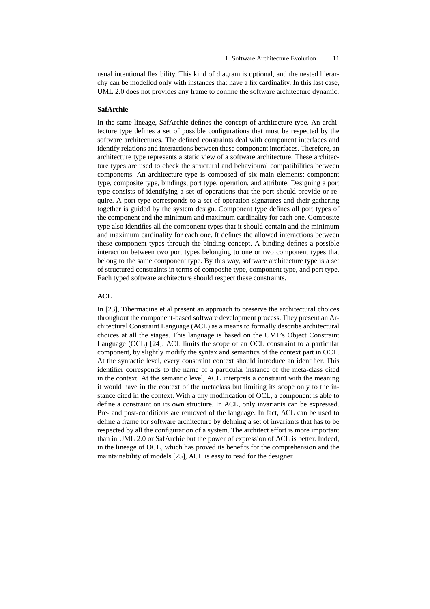usual intentional flexibility. This kind of diagram is optional, and the nested hierarchy can be modelled only with instances that have a fix cardinality. In this last case, UML 2.0 does not provides any frame to confine the software architecture dynamic.

### **SafArchie**

In the same lineage, SafArchie defines the concept of architecture type. An architecture type defines a set of possible configurations that must be respected by the software architectures. The defined constraints deal with component interfaces and identify relations and interactions between these component interfaces. Therefore, an architecture type represents a static view of a software architecture. These architecture types are used to check the structural and behavioural compatibilities between components. An architecture type is composed of six main elements: component type, composite type, bindings, port type, operation, and attribute. Designing a port type consists of identifying a set of operations that the port should provide or require. A port type corresponds to a set of operation signatures and their gathering together is guided by the system design. Component type defines all port types of the component and the minimum and maximum cardinality for each one. Composite type also identifies all the component types that it should contain and the minimum and maximum cardinality for each one. It defines the allowed interactions between these component types through the binding concept. A binding defines a possible interaction between two port types belonging to one or two component types that belong to the same component type. By this way, software architecture type is a set of structured constraints in terms of composite type, component type, and port type. Each typed software architecture should respect these constraints.

## **ACL**

In [23], Tibermacine et al present an approach to preserve the architectural choices throughout the component-based software development process. They present an Architectural Constraint Language (ACL) as a means to formally describe architectural choices at all the stages. This language is based on the UML's Object Constraint Language (OCL) [24]. ACL limits the scope of an OCL constraint to a particular component, by slightly modify the syntax and semantics of the context part in OCL. At the syntactic level, every constraint context should introduce an identifier. This identifier corresponds to the name of a particular instance of the meta-class cited in the context. At the semantic level, ACL interprets a constraint with the meaning it would have in the context of the metaclass but limiting its scope only to the instance cited in the context. With a tiny modification of OCL, a component is able to define a constraint on its own structure. In ACL, only invariants can be expressed. Pre- and post-conditions are removed of the language. In fact, ACL can be used to define a frame for software architecture by defining a set of invariants that has to be respected by all the configuration of a system. The architect effort is more important than in UML 2.0 or SafArchie but the power of expression of ACL is better. Indeed, in the lineage of OCL, which has proved its benefits for the comprehension and the maintainability of models [25], ACL is easy to read for the designer.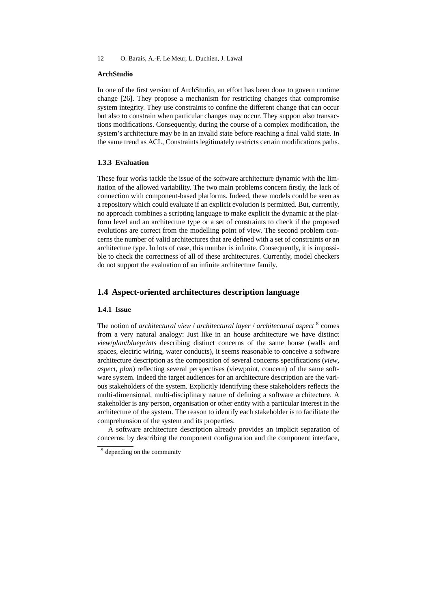### **ArchStudio**

In one of the first version of ArchStudio, an effort has been done to govern runtime change [26]. They propose a mechanism for restricting changes that compromise system integrity. They use constraints to confine the different change that can occur but also to constrain when particular changes may occur. They support also transactions modifications. Consequently, during the course of a complex modification, the system's architecture may be in an invalid state before reaching a final valid state. In the same trend as ACL, Constraints legitimately restricts certain modifications paths.

# **1.3.3 Evaluation**

These four works tackle the issue of the software architecture dynamic with the limitation of the allowed variability. The two main problems concern firstly, the lack of connection with component-based platforms. Indeed, these models could be seen as a repository which could evaluate if an explicit evolution is permitted. But, currently, no approach combines a scripting language to make explicit the dynamic at the platform level and an architecture type or a set of constraints to check if the proposed evolutions are correct from the modelling point of view. The second problem concerns the number of valid architectures that are defined with a set of constraints or an architecture type. In lots of case, this number is infinite. Consequently, it is impossible to check the correctness of all of these architectures. Currently, model checkers do not support the evaluation of an infinite architecture family.

# **1.4 Aspect-oriented architectures description language**

#### **1.4.1 Issue**

The notion of *architectural view* / *architectural layer* / *architectural aspect* <sup>8</sup> comes from a very natural analogy: Just like in an house architecture we have distinct *view*/*plan*/*blueprints* describing distinct concerns of the same house (walls and spaces, electric wiring, water conducts), it seems reasonable to conceive a software architecture description as the composition of several concerns specifications (*view*, *aspect*, *plan*) reflecting several perspectives (viewpoint, concern) of the same software system. Indeed the target audiences for an architecture description are the various stakeholders of the system. Explicitly identifying these stakeholders reflects the multi-dimensional, multi-disciplinary nature of defining a software architecture. A stakeholder is any person, organisation or other entity with a particular interest in the architecture of the system. The reason to identify each stakeholder is to facilitate the comprehension of the system and its properties.

A software architecture description already provides an implicit separation of concerns: by describing the component configuration and the component interface,

<sup>&</sup>lt;sup>8</sup> depending on the community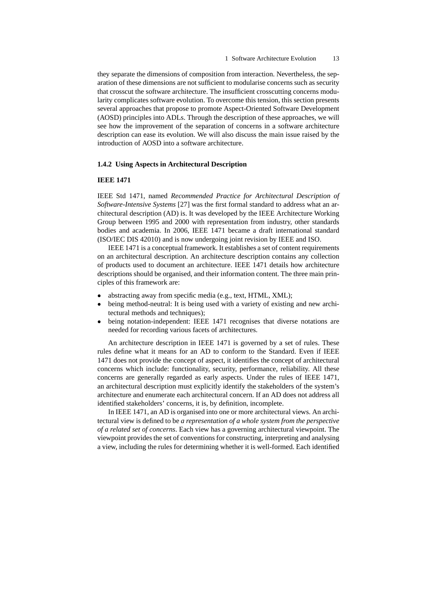they separate the dimensions of composition from interaction. Nevertheless, the separation of these dimensions are not sufficient to modularise concerns such as security that crosscut the software architecture. The insufficient crosscutting concerns modularity complicates software evolution. To overcome this tension, this section presents several approaches that propose to promote Aspect-Oriented Software Development (AOSD) principles into ADLs. Through the description of these approaches, we will see how the improvement of the separation of concerns in a software architecture description can ease its evolution. We will also discuss the main issue raised by the introduction of AOSD into a software architecture.

### **1.4.2 Using Aspects in Architectural Description**

#### **IEEE 1471**

IEEE Std 1471, named *Recommended Practice for Architectural Description of Software-Intensive Systems* [27] was the first formal standard to address what an architectural description (AD) is. It was developed by the IEEE Architecture Working Group between 1995 and 2000 with representation from industry, other standards bodies and academia. In 2006, IEEE 1471 became a draft international standard (ISO/IEC DIS 42010) and is now undergoing joint revision by IEEE and ISO.

IEEE 1471 is a conceptual framework. It establishes a set of content requirements on an architectural description. An architecture description contains any collection of products used to document an architecture. IEEE 1471 details how architecture descriptions should be organised, and their information content. The three main principles of this framework are:

- abstracting away from specific media (e.g., text, HTML, XML);
- being method-neutral: It is being used with a variety of existing and new architectural methods and techniques);
- being notation-independent: IEEE 1471 recognises that diverse notations are needed for recording various facets of architectures.

An architecture description in IEEE 1471 is governed by a set of rules. These rules define what it means for an AD to conform to the Standard. Even if IEEE 1471 does not provide the concept of aspect, it identifies the concept of architectural concerns which include: functionality, security, performance, reliability. All these concerns are generally regarded as early aspects. Under the rules of IEEE 1471, an architectural description must explicitly identify the stakeholders of the system's architecture and enumerate each architectural concern. If an AD does not address all identified stakeholders' concerns, it is, by definition, incomplete.

In IEEE 1471, an AD is organised into one or more architectural views. An architectural view is defined to be *a representation of a whole system from the perspective of a related set of concerns*. Each view has a governing architectural viewpoint. The viewpoint provides the set of conventions for constructing, interpreting and analysing a view, including the rules for determining whether it is well-formed. Each identified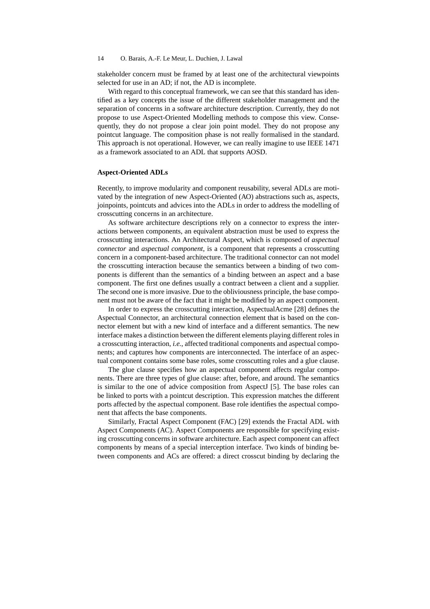stakeholder concern must be framed by at least one of the architectural viewpoints selected for use in an AD; if not, the AD is incomplete.

With regard to this conceptual framework, we can see that this standard has identified as a key concepts the issue of the different stakeholder management and the separation of concerns in a software architecture description. Currently, they do not propose to use Aspect-Oriented Modelling methods to compose this view. Consequently, they do not propose a clear join point model. They do not propose any pointcut language. The composition phase is not really formalised in the standard. This approach is not operational. However, we can really imagine to use IEEE 1471 as a framework associated to an ADL that supports AOSD.

#### **Aspect-Oriented ADLs**

Recently, to improve modularity and component reusability, several ADLs are motivated by the integration of new Aspect-Oriented (AO) abstractions such as, aspects, joinpoints, pointcuts and advices into the ADLs in order to address the modelling of crosscutting concerns in an architecture.

As software architecture descriptions rely on a connector to express the interactions between components, an equivalent abstraction must be used to express the crosscutting interactions. An Architectural Aspect, which is composed of *aspectual connector* and *aspectual component*, is a component that represents a crosscutting concern in a component-based architecture. The traditional connector can not model the crosscutting interaction because the semantics between a binding of two components is different than the semantics of a binding between an aspect and a base component. The first one defines usually a contract between a client and a supplier. The second one is more invasive. Due to the obliviousness principle, the base component must not be aware of the fact that it might be modified by an aspect component.

In order to express the crosscutting interaction, AspectualAcme [28] defines the Aspectual Connector, an architectural connection element that is based on the connector element but with a new kind of interface and a different semantics. The new interface makes a distinction between the different elements playing different roles in a crosscutting interaction, *i.e.*, affected traditional components and aspectual components; and captures how components are interconnected. The interface of an aspectual component contains some base roles, some crosscutting roles and a glue clause.

The glue clause specifies how an aspectual component affects regular components. There are three types of glue clause: after, before, and around. The semantics is similar to the one of advice composition from AspectJ [5]. The base roles can be linked to ports with a pointcut description. This expression matches the different ports affected by the aspectual component. Base role identifies the aspectual component that affects the base components.

Similarly, Fractal Aspect Component (FAC) [29] extends the Fractal ADL with Aspect Components (AC). Aspect Components are responsible for specifying existing crosscutting concerns in software architecture. Each aspect component can affect components by means of a special interception interface. Two kinds of binding between components and ACs are offered: a direct crosscut binding by declaring the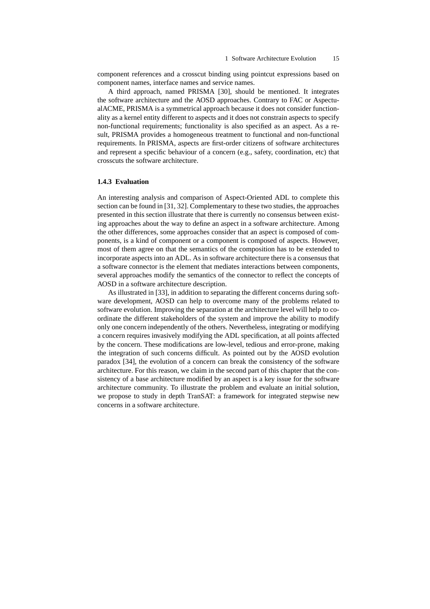component references and a crosscut binding using pointcut expressions based on component names, interface names and service names.

A third approach, named PRISMA [30], should be mentioned. It integrates the software architecture and the AOSD approaches. Contrary to FAC or AspectualACME, PRISMA is a symmetrical approach because it does not consider functionality as a kernel entity different to aspects and it does not constrain aspects to specify non-functional requirements; functionality is also specified as an aspect. As a result, PRISMA provides a homogeneous treatment to functional and non-functional requirements. In PRISMA, aspects are first-order citizens of software architectures and represent a specific behaviour of a concern (e.g., safety, coordination, etc) that crosscuts the software architecture.

# **1.4.3 Evaluation**

An interesting analysis and comparison of Aspect-Oriented ADL to complete this section can be found in [31, 32]. Complementary to these two studies, the approaches presented in this section illustrate that there is currently no consensus between existing approaches about the way to define an aspect in a software architecture. Among the other differences, some approaches consider that an aspect is composed of components, is a kind of component or a component is composed of aspects. However, most of them agree on that the semantics of the composition has to be extended to incorporate aspects into an ADL. As in software architecture there is a consensus that a software connector is the element that mediates interactions between components, several approaches modify the semantics of the connector to reflect the concepts of AOSD in a software architecture description.

As illustrated in [33], in addition to separating the different concerns during software development, AOSD can help to overcome many of the problems related to software evolution. Improving the separation at the architecture level will help to coordinate the different stakeholders of the system and improve the ability to modify only one concern independently of the others. Nevertheless, integrating or modifying a concern requires invasively modifying the ADL specification, at all points affected by the concern. These modifications are low-level, tedious and error-prone, making the integration of such concerns difficult. As pointed out by the AOSD evolution paradox [34], the evolution of a concern can break the consistency of the software architecture. For this reason, we claim in the second part of this chapter that the consistency of a base architecture modified by an aspect is a key issue for the software architecture community. To illustrate the problem and evaluate an initial solution, we propose to study in depth TranSAT: a framework for integrated stepwise new concerns in a software architecture.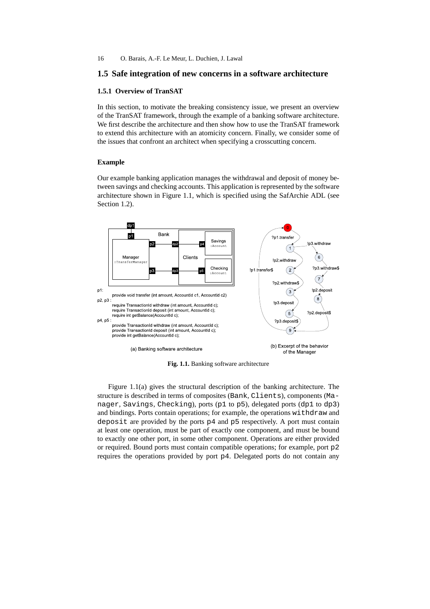# **1.5 Safe integration of new concerns in a software architecture**

#### **1.5.1 Overview of TranSAT**

In this section, to motivate the breaking consistency issue, we present an overview of the TranSAT framework, through the example of a banking software architecture. We first describe the architecture and then show how to use the TranSAT framework to extend this architecture with an atomicity concern. Finally, we consider some of the issues that confront an architect when specifying a crosscutting concern.

# **Example**

Our example banking application manages the withdrawal and deposit of money between savings and checking accounts. This application is represented by the software architecture shown in Figure 1.1, which is specified using the SafArchie ADL (see Section 1.2).



**Fig. 1.1.** Banking software architecture

Figure 1.1(a) gives the structural description of the banking architecture. The structure is described in terms of composites (Bank, Clients), components (Manager, Savings, Checking), ports (p1 to p5), delegated ports (dp1 to dp3) and bindings. Ports contain operations; for example, the operations withdraw and deposit are provided by the ports p4 and p5 respectively. A port must contain at least one operation, must be part of exactly one component, and must be bound to exactly one other port, in some other component. Operations are either provided or required. Bound ports must contain compatible operations; for example, port p2 requires the operations provided by port p4. Delegated ports do not contain any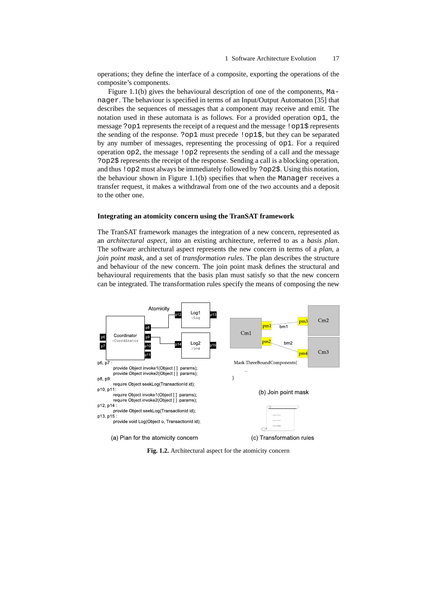operations; they define the interface of a composite, exporting the operations of the composite's components.

Figure 1.1(b) gives the behavioural description of one of the components, Manager. The behaviour is specified in terms of an Input/Output Automaton [35] that describes the sequences of messages that a component may receive and emit. The notation used in these automata is as follows. For a provided operation op1, the message ?op1 represents the receipt of a request and the message !op1\$ represents the sending of the response. ?op1 must precede !op1\$, but they can be separated by any number of messages, representing the processing of op1. For a required operation op2, the message !op2 represents the sending of a call and the message ?op2\$ represents the receipt of the response. Sending a call is a blocking operation, and thus !op2 must always be immediately followed by ?op2\$. Using this notation, the behaviour shown in Figure 1.1(b) specifies that when the Manager receives a transfer request, it makes a withdrawal from one of the two accounts and a deposit to the other one.

#### **Integrating an atomicity concern using the TranSAT framework**

The TranSAT framework manages the integration of a new concern, represented as an *architectural aspect*, into an existing architecture, referred to as a *basis plan*. The software architectural aspect represents the new concern in terms of a *plan*, a *join point mask*, and a set of *transformation rules*. The plan describes the structure and behaviour of the new concern. The join point mask defines the structural and behavioural requirements that the basis plan must satisfy so that the new concern can be integrated. The transformation rules specify the means of composing the new



**Fig. 1.2.** Architectural aspect for the atomicity concern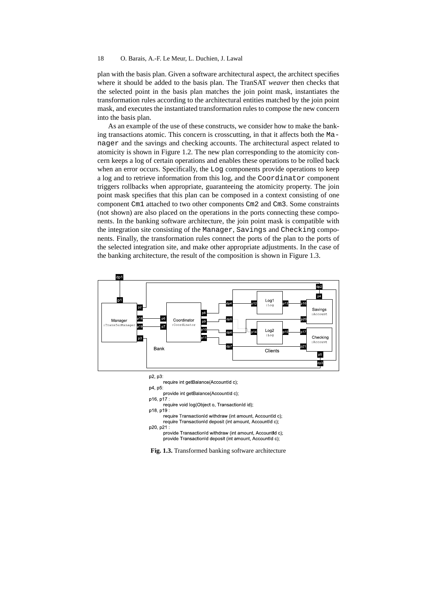plan with the basis plan. Given a software architectural aspect, the architect specifies where it should be added to the basis plan. The TranSAT *weaver* then checks that the selected point in the basis plan matches the join point mask, instantiates the transformation rules according to the architectural entities matched by the join point mask, and executes the instantiated transformation rules to compose the new concern into the basis plan.

As an example of the use of these constructs, we consider how to make the banking transactions atomic. This concern is crosscutting, in that it affects both the Manager and the savings and checking accounts. The architectural aspect related to atomicity is shown in Figure 1.2. The new plan corresponding to the atomicity concern keeps a log of certain operations and enables these operations to be rolled back when an error occurs. Specifically, the Log components provide operations to keep a log and to retrieve information from this log, and the Coordinator component triggers rollbacks when appropriate, guaranteeing the atomicity property. The join point mask specifies that this plan can be composed in a context consisting of one component Cm1 attached to two other components Cm2 and Cm3. Some constraints (not shown) are also placed on the operations in the ports connecting these components. In the banking software architecture, the join point mask is compatible with the integration site consisting of the Manager, Savings and Checking components. Finally, the transformation rules connect the ports of the plan to the ports of the selected integration site, and make other appropriate adjustments. In the case of the banking architecture, the result of the composition is shown in Figure 1.3.



p2, p3

require int getBalance(AccountId c); p4, p5:

provide int getBalance(AccountId c);

p16, p17: require void log(Object o, TransactionId id);

p18, p19:

require TransactionId withdraw (int amount, AccountId c); require TransactionId deposit (int amount, AccountId c)

p20, p21: provide TransactionId withdraw (int amount, AccountId c); provide TransactionId deposit (int amount, AccountId c);

**Fig. 1.3.** Transformed banking software architecture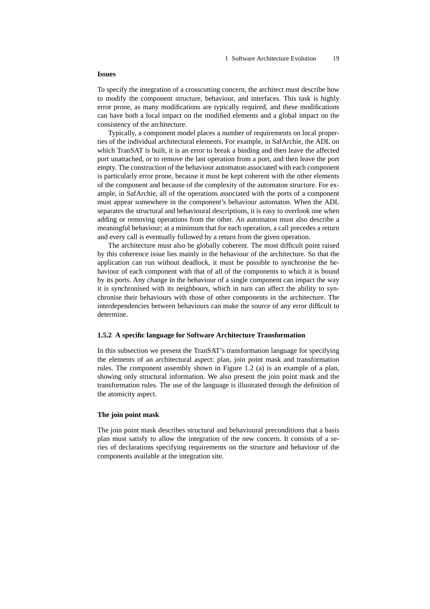### **Issues**

To specify the integration of a crosscutting concern, the architect must describe how to modify the component structure, behaviour, and interfaces. This task is highly error prone, as many modifications are typically required, and these modifications can have both a local impact on the modified elements and a global impact on the consistency of the architecture.

Typically, a component model places a number of requirements on local properties of the individual architectural elements. For example, in SafArchie, the ADL on which TranSAT is built, it is an error to break a binding and then leave the affected port unattached, or to remove the last operation from a port, and then leave the port empty. The construction of the behaviour automaton associated with each component is particularly error prone, because it must be kept coherent with the other elements of the component and because of the complexity of the automaton structure. For example, in SafArchie, all of the operations associated with the ports of a component must appear somewhere in the component's behaviour automaton. When the ADL separates the structural and behavioural descriptions, it is easy to overlook one when adding or removing operations from the other. An automaton must also describe a meaningful behaviour; at a minimum that for each operation, a call precedes a return and every call is eventually followed by a return from the given operation.

The architecture must also be globally coherent. The most difficult point raised by this coherence issue lies mainly in the behaviour of the architecture. So that the application can run without deadlock, it must be possible to synchronise the behaviour of each component with that of all of the components to which it is bound by its ports. Any change in the behaviour of a single component can impact the way it is synchronised with its neighbours, which in turn can affect the ability to synchronise their behaviours with those of other components in the architecture. The interdependencies between behaviours can make the source of any error difficult to determine.

#### **1.5.2 A specific language for Software Architecture Transformation**

In this subsection we present the TranSAT's transformation language for specifying the elements of an architectural aspect: plan, join point mask and transformation rules. The component assembly shown in Figure 1.2 (a) is an example of a plan, showing only structural information. We also present the join point mask and the transformation rules. The use of the language is illustrated through the definition of the atomicity aspect.

# **The join point mask**

The join point mask describes structural and behavioural preconditions that a basis plan must satisfy to allow the integration of the new concern. It consists of a series of declarations specifying requirements on the structure and behaviour of the components available at the integration site.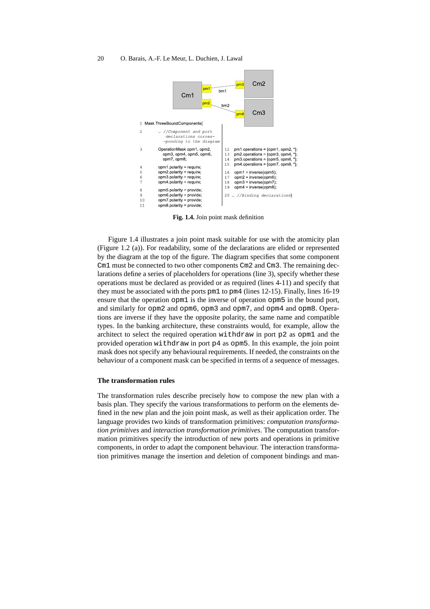

**Fig. 1.4.** Join point mask definition

Figure 1.4 illustrates a join point mask suitable for use with the atomicity plan (Figure 1.2 (a)). For readability, some of the declarations are elided or represented by the diagram at the top of the figure. The diagram specifies that some component Cm1 must be connected to two other components Cm2 and Cm3. The remaining declarations define a series of placeholders for operations (line 3), specify whether these operations must be declared as provided or as required (lines 4-11) and specify that they must be associated with the ports pm1 to pm4 (lines 12-15). Finally, lines 16-19 ensure that the operation  $\phi$  pm is the inverse of operation  $\phi$  pm is in the bound port, and similarly for opm2 and opm6, opm3 and opm7, and opm4 and opm8. Operations are inverse if they have the opposite polarity, the same name and compatible types. In the banking architecture, these constraints would, for example, allow the architect to select the required operation withdraw in port p2 as opm1 and the provided operation withdraw in port p4 as opm5. In this example, the join point mask does not specify any behavioural requirements. If needed, the constraints on the behaviour of a component mask can be specified in terms of a sequence of messages.

#### **The transformation rules**

The transformation rules describe precisely how to compose the new plan with a basis plan. They specify the various transformations to perform on the elements defined in the new plan and the join point mask, as well as their application order. The language provides two kinds of transformation primitives: *computation transformation primitives* and *interaction transformation primitives*. The computation transformation primitives specify the introduction of new ports and operations in primitive components, in order to adapt the component behaviour. The interaction transformation primitives manage the insertion and deletion of component bindings and man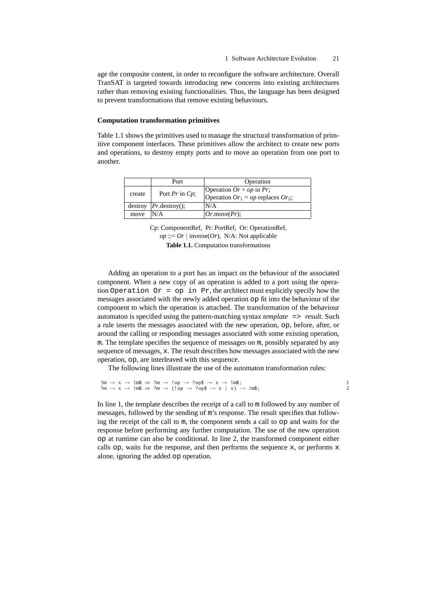age the composite content, in order to reconfigure the software architecture. Overall TranSAT is targeted towards introducing new concerns into existing architectures rather than removing existing functionalities. Thus, the language has been designed to prevent transformations that remove existing behaviours.

#### **Computation transformation primitives**

Table 1.1 shows the primitives used to manage the structural transformation of primitive component interfaces. These primitives allow the architect to create new ports and operations, to destroy empty ports and to move an operation from one port to another.

|        | Port                      | Operation                               |
|--------|---------------------------|-----------------------------------------|
| create | Port $Pr$ in $Cp$ ;       | Operation $Or = op$ in Pr;              |
|        |                           | Operation $Or_1 = op$ replaces $Or_2$ ; |
|        | $destrov$ $ Pr.degrov$ ): | N/A                                     |
| move   | N/A                       | $ Or$ move $(Pr)$ :                     |

Cp: ComponentRef, Pr: PortRef, Or: OperationRef,  $op ::= Or$  | inverse(*Or*), N/A: Not applicable **Table 1.1.** Computation transformations

Adding an operation to a port has an impact on the behaviour of the associated component. When a new copy of an operation is added to a port using the operation Operation  $Or = op$  in Pr, the architect must explicitly specify how the messages associated with the newly added operation op fit into the behaviour of the component to which the operation is attached. The transformation of the behaviour automaton is specified using the pattern-matching syntax *template* => *result*. Such a rule inserts the messages associated with the new operation, op, before, after, or around the calling or responding messages associated with some existing operation, m. The template specifies the sequence of messages on m, possibly separated by any sequence of messages, x. The result describes how messages associated with the new operation, op, are interleaved with this sequence.

The following lines illustrate the use of the automaton transformation rules:

$$
?m \rightarrow x \rightarrow !m$ \Rightarrow ?m \rightarrow !op \rightarrow ?op$ \rightarrow x \rightarrow !m$;
$$
  

$$
?m \rightarrow x \rightarrow !m$ \Rightarrow ?m \rightarrow (!op \rightarrow ?op$ \rightarrow x | x) \rightarrow !m$;
$$
  

$$
?m \rightarrow x \rightarrow !m$ \Rightarrow ?m \rightarrow (!op \rightarrow ?op$ \rightarrow x | x) \rightarrow !m$;
$$

In line 1, the template describes the receipt of a call to m followed by any number of messages, followed by the sending of m's response. The result specifies that following the receipt of the call to m, the component sends a call to op and waits for the response before performing any further computation. The use of the new operation op at runtime can also be conditional. In line 2, the transformed component either calls op, waits for the response, and then performs the sequence  $x$ , or performs  $x$ alone, ignoring the added op operation.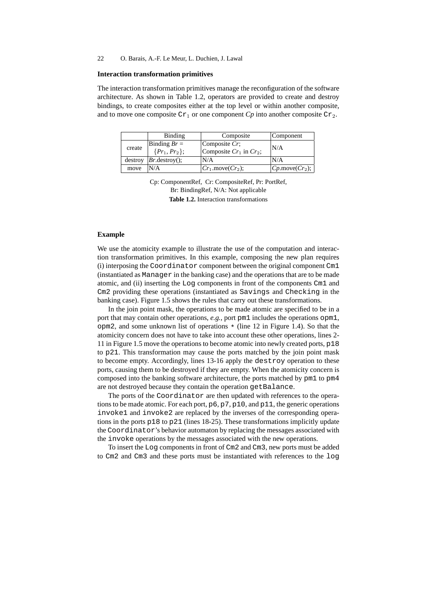#### **Interaction transformation primitives**

The interaction transformation primitives manage the reconfiguration of the software architecture. As shown in Table 1.2, operators are provided to create and destroy bindings, to create composites either at the top level or within another composite, and to move one composite  $Cr_1$  or one component  $C_p$  into another composite  $Cr_2$ .

|         | Binding           | Composite                    | Component             |
|---------|-------------------|------------------------------|-----------------------|
| create  | Binding $Br =$    | Composite $Cr$ ;             | N/A                   |
|         | $\{Pr_1, Pr_2\};$ | Composite $Cr_1$ in $Cr_2$ ; |                       |
| destroy | $Br.$ destroy();  | 'N/A                         | N/A                   |
| move    | N/A               | $Cr_1$ .move $(Cr_2)$ ;      | $ Cp$ move $(Cr_2)$ ; |

Cp: ComponentRef, Cr: CompositeRef, Pr: PortRef, Br: BindingRef, N/A: Not applicable **Table 1.2.** Interaction transformations

### **Example**

We use the atomicity example to illustrate the use of the computation and interaction transformation primitives. In this example, composing the new plan requires (i) interposing the Coordinator component between the original component Cm1 (instantiated as Manager in the banking case) and the operations that are to be made atomic, and (ii) inserting the Log components in front of the components Cm1 and Cm2 providing these operations (instantiated as Savings and Checking in the banking case). Figure 1.5 shows the rules that carry out these transformations.

In the join point mask, the operations to be made atomic are specified to be in a port that may contain other operations, *e.g.*, port pm1 includes the operations  $opm1$ ,  $\gamma$  opm2, and some unknown list of operations  $\star$  (line 12 in Figure 1.4). So that the atomicity concern does not have to take into account these other operations, lines 2- 11 in Figure 1.5 move the operations to become atomic into newly created ports, p18 to p21. This transformation may cause the ports matched by the join point mask to become empty. Accordingly, lines 13-16 apply the destroy operation to these ports, causing them to be destroyed if they are empty. When the atomicity concern is composed into the banking software architecture, the ports matched by pm1 to pm4 are not destroyed because they contain the operation getBalance.

The ports of the Coordinator are then updated with references to the operations to be made atomic. For each port, p6, p7, p10, and p11, the generic operations invoke1 and invoke2 are replaced by the inverses of the corresponding operations in the ports p18 to p21 (lines 18-25). These transformations implicitly update the Coordinator's behavior automaton by replacing the messages associated with the invoke operations by the messages associated with the new operations.

To insert the Log components in front of Cm2 and Cm3, new ports must be added to Cm2 and Cm3 and these ports must be instantiated with references to the log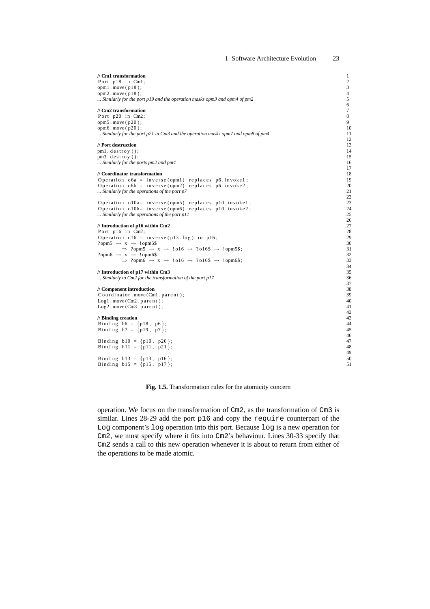| // Cm1 transformation                                                                                                                                | $\mathbf{1}$   |
|------------------------------------------------------------------------------------------------------------------------------------------------------|----------------|
| Port p18 in Cm1;                                                                                                                                     | 2              |
| $opml$ . move $(pl8)$ ;                                                                                                                              | 3              |
| $opm2$ . move $(p18)$ ;                                                                                                                              | $\overline{4}$ |
| Similarly for the port $p19$ and the operation masks opm3 and opm4 of pm2                                                                            | 5              |
|                                                                                                                                                      | 6              |
| // Cm2 transformation                                                                                                                                | $\tau$         |
| Port p20 in Cm2;                                                                                                                                     | 8              |
| opm5.move(p20);                                                                                                                                      | 9<br>10        |
| $opm6$ . move $(p20)$ ;<br>Similarly for the port $p21$ in Cm3 and the operation masks opm7 and opm8 of pm4                                          | 11             |
|                                                                                                                                                      | 12             |
| // Port destruction                                                                                                                                  | 13             |
| $pm1.$ destroy ();                                                                                                                                   | 14             |
| $pm3.$ destroy ();                                                                                                                                   | 15             |
| Similarly for the ports pm2 and pm4                                                                                                                  | 16             |
|                                                                                                                                                      | 17             |
| // Coordinator transformation                                                                                                                        | 18             |
| Operation $o6a = inverse($ opm1) replaces p6.invoked;                                                                                                | 19             |
| Operation $o6b = inverse(omp2)$ replaces $p6.invoke2;$                                                                                               | 20             |
| Similarly for the operations of the port p7                                                                                                          | 21             |
|                                                                                                                                                      | 22             |
| Operation $010a =$ inverse (opm5) replaces $p10.invobel$ ;                                                                                           | 23             |
| Operation ol0b= inverse(opm6) replaces p10.invoke2;                                                                                                  | 24<br>25       |
| Similarly for the operations of the port p11                                                                                                         | 26             |
| // Introduction of p16 within Cm2                                                                                                                    | 27             |
|                                                                                                                                                      |                |
|                                                                                                                                                      |                |
| Port p16 in Cm2;                                                                                                                                     | 28             |
| Operation $o16 = inverse(p13.log)$ in p16;                                                                                                           | 29<br>30       |
| $?$ opm5 $\rightarrow$ x $\rightarrow$ !opm5\$<br>$\Rightarrow$ ?opm5 $\rightarrow$ x $\rightarrow$ !016 $\rightarrow$ ?016\$ $\rightarrow$ !opm5\$; | 31             |
| ?opm6 $\rightarrow$ x $\rightarrow$ !opm6\$                                                                                                          | 32             |
| $\Rightarrow$ ?opm6 $\rightarrow$ x $\rightarrow$ !016 $\rightarrow$ ?016\$ $\rightarrow$ !opm6\$;                                                   | 33             |
|                                                                                                                                                      | 34             |
| // Introduction of p17 within Cm3                                                                                                                    | 35             |
| Similarly to Cm2 for the transformation of the port p17                                                                                              | 36             |
|                                                                                                                                                      | 37             |
| // Component introduction                                                                                                                            | 38             |
| Coordinator.move(Cml.parent);                                                                                                                        | 39             |
| $Log1$ . move $(Cm2$ . parent);                                                                                                                      | 40             |
| $Log2$ . move $(Cm3. parent)$ ;                                                                                                                      | 41             |
|                                                                                                                                                      | 42             |
| // Binding creation                                                                                                                                  | 43             |
| Binding $b6 = {p18, p6};$                                                                                                                            | 44<br>45       |
| Binding $b7 = \{p19, p7\};$                                                                                                                          | 46             |
| Binding $b10 = {p10, p20};$                                                                                                                          | 47             |
| Binding $b11 = {p11, p21};$                                                                                                                          | 48             |
|                                                                                                                                                      | 49             |
| Binding $b13 = {p13, p16};$<br>Binding $b15 = {p15, p17};$                                                                                           | 50<br>51       |

**Fig. 1.5.** Transformation rules for the atomicity concern

operation. We focus on the transformation of Cm2, as the transformation of Cm3 is similar. Lines 28-29 add the port p16 and copy the require counterpart of the Log component's log operation into this port. Because log is a new operation for Cm2, we must specify where it fits into Cm2's behaviour. Lines 30-33 specify that Cm2 sends a call to this new operation whenever it is about to return from either of the operations to be made atomic.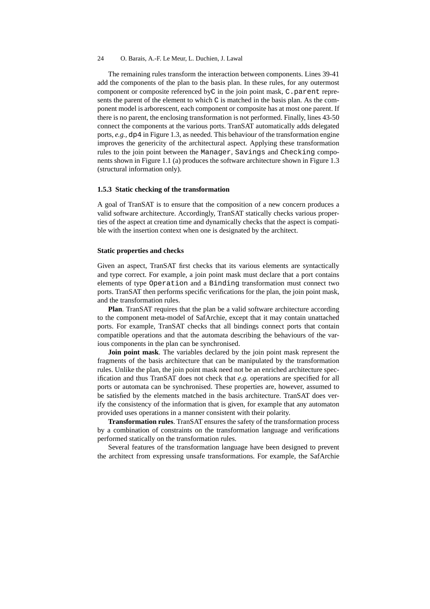The remaining rules transform the interaction between components. Lines 39-41 add the components of the plan to the basis plan. In these rules, for any outermost component or composite referenced byC in the join point mask, C.parent represents the parent of the element to which C is matched in the basis plan. As the component model is arborescent, each component or composite has at most one parent. If there is no parent, the enclosing transformation is not performed. Finally, lines 43-50 connect the components at the various ports. TranSAT automatically adds delegated ports, *e.g.,* dp4 in Figure 1.3, as needed. This behaviour of the transformation engine improves the genericity of the architectural aspect. Applying these transformation rules to the join point between the Manager, Savings and Checking components shown in Figure 1.1 (a) produces the software architecture shown in Figure 1.3 (structural information only).

#### **1.5.3 Static checking of the transformation**

A goal of TranSAT is to ensure that the composition of a new concern produces a valid software architecture. Accordingly, TranSAT statically checks various properties of the aspect at creation time and dynamically checks that the aspect is compatible with the insertion context when one is designated by the architect.

# **Static properties and checks**

Given an aspect, TranSAT first checks that its various elements are syntactically and type correct. For example, a join point mask must declare that a port contains elements of type Operation and a Binding transformation must connect two ports. TranSAT then performs specific verifications for the plan, the join point mask, and the transformation rules.

**Plan**. TranSAT requires that the plan be a valid software architecture according to the component meta-model of SafArchie, except that it may contain unattached ports. For example, TranSAT checks that all bindings connect ports that contain compatible operations and that the automata describing the behaviours of the various components in the plan can be synchronised.

**Join point mask**. The variables declared by the join point mask represent the fragments of the basis architecture that can be manipulated by the transformation rules. Unlike the plan, the join point mask need not be an enriched architecture specification and thus TranSAT does not check that *e.g.* operations are specified for all ports or automata can be synchronised. These properties are, however, assumed to be satisfied by the elements matched in the basis architecture. TranSAT does verify the consistency of the information that is given, for example that any automaton provided uses operations in a manner consistent with their polarity.

**Transformation rules**. TranSAT ensures the safety of the transformation process by a combination of constraints on the transformation language and verifications performed statically on the transformation rules.

Several features of the transformation language have been designed to prevent the architect from expressing unsafe transformations. For example, the SafArchie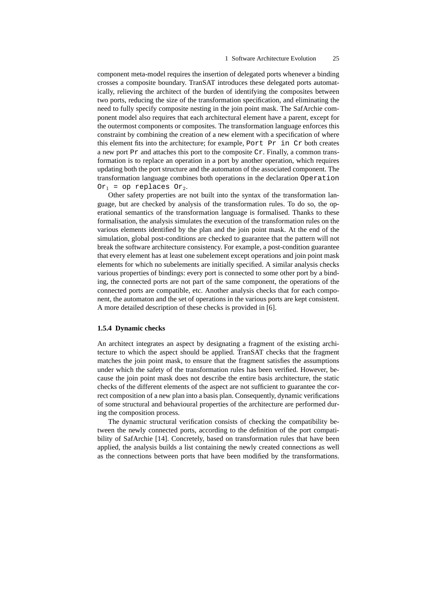component meta-model requires the insertion of delegated ports whenever a binding crosses a composite boundary. TranSAT introduces these delegated ports automatically, relieving the architect of the burden of identifying the composites between two ports, reducing the size of the transformation specification, and eliminating the need to fully specify composite nesting in the join point mask. The SafArchie component model also requires that each architectural element have a parent, except for the outermost components or composites. The transformation language enforces this constraint by combining the creation of a new element with a specification of where this element fits into the architecture; for example, Port Pr in Cr both creates a new port Pr and attaches this port to the composite Cr. Finally, a common transformation is to replace an operation in a port by another operation, which requires updating both the port structure and the automaton of the associated component. The transformation language combines both operations in the declaration Operation Or<sub>1</sub> = op replaces Or<sub>2</sub>.

Other safety properties are not built into the syntax of the transformation language, but are checked by analysis of the transformation rules. To do so, the operational semantics of the transformation language is formalised. Thanks to these formalisation, the analysis simulates the execution of the transformation rules on the various elements identified by the plan and the join point mask. At the end of the simulation, global post-conditions are checked to guarantee that the pattern will not break the software architecture consistency. For example, a post-condition guarantee that every element has at least one subelement except operations and join point mask elements for which no subelements are initially specified. A similar analysis checks various properties of bindings: every port is connected to some other port by a binding, the connected ports are not part of the same component, the operations of the connected ports are compatible, etc. Another analysis checks that for each component, the automaton and the set of operations in the various ports are kept consistent. A more detailed description of these checks is provided in [6].

#### **1.5.4 Dynamic checks**

An architect integrates an aspect by designating a fragment of the existing architecture to which the aspect should be applied. TranSAT checks that the fragment matches the join point mask, to ensure that the fragment satisfies the assumptions under which the safety of the transformation rules has been verified. However, because the join point mask does not describe the entire basis architecture, the static checks of the different elements of the aspect are not sufficient to guarantee the correct composition of a new plan into a basis plan. Consequently, dynamic verifications of some structural and behavioural properties of the architecture are performed during the composition process.

The dynamic structural verification consists of checking the compatibility between the newly connected ports, according to the definition of the port compatibility of SafArchie [14]. Concretely, based on transformation rules that have been applied, the analysis builds a list containing the newly created connections as well as the connections between ports that have been modified by the transformations.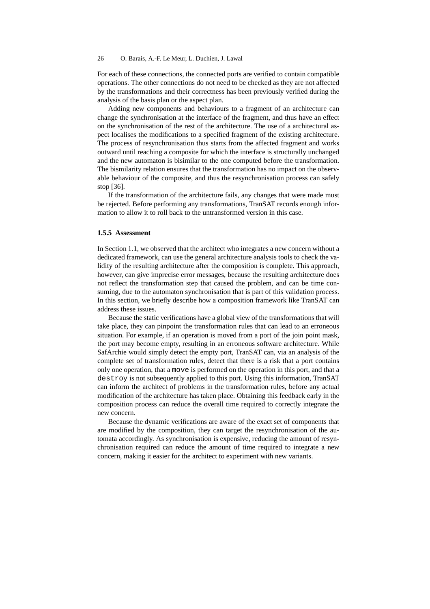For each of these connections, the connected ports are verified to contain compatible operations. The other connections do not need to be checked as they are not affected by the transformations and their correctness has been previously verified during the analysis of the basis plan or the aspect plan.

Adding new components and behaviours to a fragment of an architecture can change the synchronisation at the interface of the fragment, and thus have an effect on the synchronisation of the rest of the architecture. The use of a architectural aspect localises the modifications to a specified fragment of the existing architecture. The process of resynchronisation thus starts from the affected fragment and works outward until reaching a composite for which the interface is structurally unchanged and the new automaton is bisimilar to the one computed before the transformation. The bismilarity relation ensures that the transformation has no impact on the observable behaviour of the composite, and thus the resynchronisation process can safely stop [36].

If the transformation of the architecture fails, any changes that were made must be rejected. Before performing any transformations, TranSAT records enough information to allow it to roll back to the untransformed version in this case.

## **1.5.5 Assessment**

In Section 1.1, we observed that the architect who integrates a new concern without a dedicated framework, can use the general architecture analysis tools to check the validity of the resulting architecture after the composition is complete. This approach, however, can give imprecise error messages, because the resulting architecture does not reflect the transformation step that caused the problem, and can be time consuming, due to the automaton synchronisation that is part of this validation process. In this section, we briefly describe how a composition framework like TranSAT can address these issues.

Because the static verifications have a global view of the transformations that will take place, they can pinpoint the transformation rules that can lead to an erroneous situation. For example, if an operation is moved from a port of the join point mask, the port may become empty, resulting in an erroneous software architecture. While SafArchie would simply detect the empty port, TranSAT can, via an analysis of the complete set of transformation rules, detect that there is a risk that a port contains only one operation, that a move is performed on the operation in this port, and that a destroy is not subsequently applied to this port. Using this information, TranSAT can inform the architect of problems in the transformation rules, before any actual modification of the architecture has taken place. Obtaining this feedback early in the composition process can reduce the overall time required to correctly integrate the new concern.

Because the dynamic verifications are aware of the exact set of components that are modified by the composition, they can target the resynchronisation of the automata accordingly. As synchronisation is expensive, reducing the amount of resynchronisation required can reduce the amount of time required to integrate a new concern, making it easier for the architect to experiment with new variants.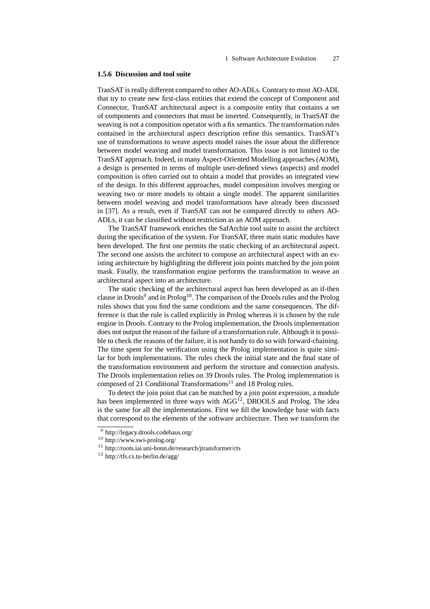# **1.5.6 Discussion and tool suite**

TranSAT is really different compared to other AO-ADLs. Contrary to most AO-ADL that try to create new first-class entities that extend the concept of Component and Connector, TranSAT architectural aspect is a composite entity that contains a set of components and connectors that must be inserted. Consequently, in TranSAT the weaving is not a composition operator with a fix semantics. The transformation rules contained in the architectural aspect description refine this semantics. TranSAT's use of transformations to weave aspects model raises the issue about the difference between model weaving and model transformation. This issue is not limited to the TranSAT approach. Indeed, in many Aspect-Oriented Modelling approaches (AOM), a design is presented in terms of multiple user-defined views (aspects) and model composition is often carried out to obtain a model that provides an integrated view of the design. In this different approaches, model composition involves merging or weaving two or more models to obtain a single model. The apparent similarities between model weaving and model transformations have already been discussed in [37]. As a result, even if TranSAT can not be compared directly to others AO-ADLs, it can be classified without restriction as an AOM approach.

The TranSAT framework enriches the SafArchie tool suite to assist the architect during the specification of the system. For TranSAT, three main static modules have been developed. The first one permits the static checking of an architectural aspect. The second one assists the architect to compose an architectural aspect with an existing architecture by highlighting the different join points matched by the join point mask. Finally, the transformation engine performs the transformation to weave an architectural aspect into an architecture.

The static checking of the architectural aspect has been developed as an if-then clause in Drools<sup>9</sup> and in Prolog<sup>10</sup>. The comparison of the Drools rules and the Prolog rules shows that you find the same conditions and the same consequences. The difference is that the rule is called explicitly in Prolog whereas it is chosen by the rule engine in Drools. Contrary to the Prolog implementation, the Drools implementation does not output the reason of the failure of a transformation rule. Although it is possible to check the reasons of the failure, it is not handy to do so with forward-chaining. The time spent for the verification using the Prolog implementation is quite similar for both implementations. The rules check the initial state and the final state of the transformation environment and perform the structure and connection analysis. The Drools implementation relies on 39 Drools rules. The Prolog implementation is composed of 21 Conditional Transformations<sup>11</sup> and 18 Prolog rules.

To detect the join point that can be matched by a join point expression, a module has been implemented in three ways with AGG<sup>12</sup>, DROOLS and Prolog. The idea is the same for all the implementations. First we fill the knowledge base with facts that correspond to the elements of the software architecture. Then we transform the

<sup>&</sup>lt;sup>9</sup> http://legacy.drools.codehaus.org/

<sup>10</sup> http://www.swi-prolog.org/

<sup>11</sup> http://roots.iai.uni-bonn.de/research/jtransformer/cts

<sup>12</sup> http://tfs.cs.tu-berlin.de/agg/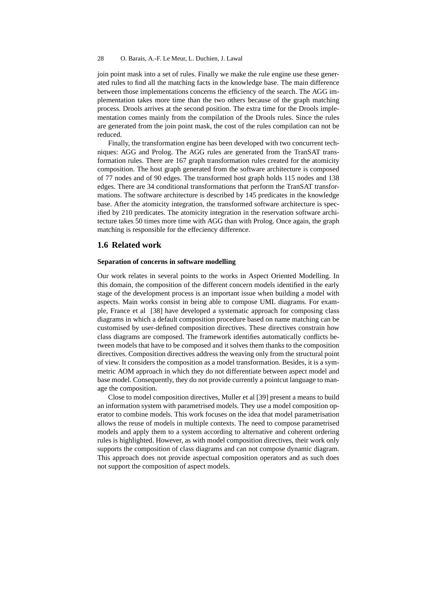join point mask into a set of rules. Finally we make the rule engine use these generated rules to find all the matching facts in the knowledge base. The main difference between those implementations concerns the efficiency of the search. The AGG implementation takes more time than the two others because of the graph matching process. Drools arrives at the second position. The extra time for the Drools implementation comes mainly from the compilation of the Drools rules. Since the rules are generated from the join point mask, the cost of the rules compilation can not be reduced.

Finally, the transformation engine has been developed with two concurrent techniques: AGG and Prolog. The AGG rules are generated from the TranSAT transformation rules. There are 167 graph transformation rules created for the atomicity composition. The host graph generated from the software architecture is composed of 77 nodes and of 90 edges. The transformed host graph holds 115 nodes and 138 edges. There are 34 conditional transformations that perform the TranSAT transformations. The software architecture is described by 145 predicates in the knowledge base. After the atomicity integration, the transformed software architecture is specified by 210 predicates. The atomicity integration in the reservation software architecture takes 50 times more time with AGG than with Prolog. Once again, the graph matching is responsible for the effeciency difference.

### **1.6 Related work**

#### **Separation of concerns in software modelling**

Our work relates in several points to the works in Aspect Oriented Modelling. In this domain, the composition of the different concern models identified in the early stage of the development process is an important issue when building a model with aspects. Main works consist in being able to compose UML diagrams. For example, France et al [38] have developed a systematic approach for composing class diagrams in which a default composition procedure based on name matching can be customised by user-defined composition directives. These directives constrain how class diagrams are composed. The framework identifies automatically conflicts between models that have to be composed and it solves them thanks to the composition directives. Composition directives address the weaving only from the structural point of view. It considers the composition as a model transformation. Besides, it is a symmetric AOM approach in which they do not differentiate between aspect model and base model. Consequently, they do not provide currently a pointcut language to manage the composition.

Close to model composition directives, Muller et al [39] present a means to build an information system with parametrised models. They use a model composition operator to combine models. This work focuses on the idea that model parametrisation allows the reuse of models in multiple contexts. The need to compose parametrised models and apply them to a system according to alternative and coherent ordering rules is highlighted. However, as with model composition directives, their work only supports the composition of class diagrams and can not compose dynamic diagram. This approach does not provide aspectual composition operators and as such does not support the composition of aspect models.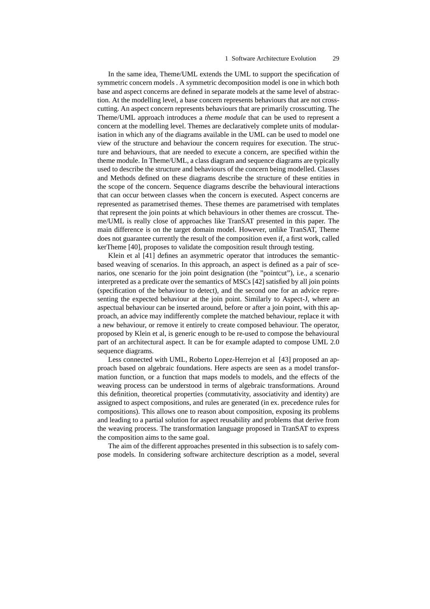In the same idea, Theme/UML extends the UML to support the specification of symmetric concern models . A symmetric decomposition model is one in which both base and aspect concerns are defined in separate models at the same level of abstraction. At the modelling level, a base concern represents behaviours that are not crosscutting. An aspect concern represents behaviours that are primarily crosscutting. The Theme/UML approach introduces a *theme module* that can be used to represent a concern at the modelling level. Themes are declaratively complete units of modularisation in which any of the diagrams available in the UML can be used to model one view of the structure and behaviour the concern requires for execution. The structure and behaviours, that are needed to execute a concern, are specified within the theme module. In Theme/UML, a class diagram and sequence diagrams are typically used to describe the structure and behaviours of the concern being modelled. Classes and Methods defined on these diagrams describe the structure of these entities in the scope of the concern. Sequence diagrams describe the behavioural interactions that can occur between classes when the concern is executed. Aspect concerns are represented as parametrised themes. These themes are parametrised with templates that represent the join points at which behaviours in other themes are crosscut. Theme/UML is really close of approaches like TranSAT presented in this paper. The main difference is on the target domain model. However, unlike TranSAT, Theme does not guarantee currently the result of the composition even if, a first work, called kerTheme [40], proposes to validate the composition result through testing.

Klein et al [41] defines an asymmetric operator that introduces the semanticbased weaving of scenarios. In this approach, an aspect is defined as a pair of scenarios, one scenario for the join point designation (the "pointcut"), i.e., a scenario interpreted as a predicate over the semantics of MSCs [42] satisfied by all join points (specification of the behaviour to detect), and the second one for an advice representing the expected behaviour at the join point. Similarly to Aspect-J, where an aspectual behaviour can be inserted around, before or after a join point, with this approach, an advice may indifferently complete the matched behaviour, replace it with a new behaviour, or remove it entirely to create composed behaviour. The operator, proposed by Klein et al, is generic enough to be re-used to compose the behavioural part of an architectural aspect. It can be for example adapted to compose UML 2.0 sequence diagrams.

Less connected with UML, Roberto Lopez-Herrejon et al [43] proposed an approach based on algebraic foundations. Here aspects are seen as a model transformation function, or a function that maps models to models, and the effects of the weaving process can be understood in terms of algebraic transformations. Around this definition, theoretical properties (commutativity, associativity and identity) are assigned to aspect compositions, and rules are generated (in ex. precedence rules for compositions). This allows one to reason about composition, exposing its problems and leading to a partial solution for aspect reusability and problems that derive from the weaving process. The transformation language proposed in TranSAT to express the composition aims to the same goal.

The aim of the different approaches presented in this subsection is to safely compose models. In considering software architecture description as a model, several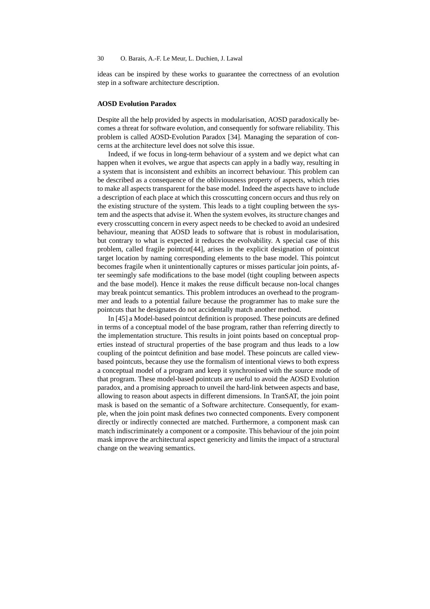ideas can be inspired by these works to guarantee the correctness of an evolution step in a software architecture description.

#### **AOSD Evolution Paradox**

Despite all the help provided by aspects in modularisation, AOSD paradoxically becomes a threat for software evolution, and consequently for software reliability. This problem is called AOSD-Evolution Paradox [34]. Managing the separation of concerns at the architecture level does not solve this issue.

Indeed, if we focus in long-term behaviour of a system and we depict what can happen when it evolves, we argue that aspects can apply in a badly way, resulting in a system that is inconsistent and exhibits an incorrect behaviour. This problem can be described as a consequence of the obliviousness property of aspects, which tries to make all aspects transparent for the base model. Indeed the aspects have to include a description of each place at which this crosscutting concern occurs and thus rely on the existing structure of the system. This leads to a tight coupling between the system and the aspects that advise it. When the system evolves, its structure changes and every crosscutting concern in every aspect needs to be checked to avoid an undesired behaviour, meaning that AOSD leads to software that is robust in modularisation, but contrary to what is expected it reduces the evolvability. A special case of this problem, called fragile pointcut[44], arises in the explicit designation of pointcut target location by naming corresponding elements to the base model. This pointcut becomes fragile when it unintentionally captures or misses particular join points, after seemingly safe modifications to the base model (tight coupling between aspects and the base model). Hence it makes the reuse difficult because non-local changes may break pointcut semantics. This problem introduces an overhead to the programmer and leads to a potential failure because the programmer has to make sure the pointcuts that he designates do not accidentally match another method.

In [45] a Model-based pointcut definition is proposed. These poincuts are defined in terms of a conceptual model of the base program, rather than referring directly to the implementation structure. This results in joint points based on conceptual properties instead of structural properties of the base program and thus leads to a low coupling of the pointcut definition and base model. These poincuts are called viewbased pointcuts, because they use the formalism of intentional views to both express a conceptual model of a program and keep it synchronised with the source mode of that program. These model-based pointcuts are useful to avoid the AOSD Evolution paradox, and a promising approach to unveil the hard-link between aspects and base, allowing to reason about aspects in different dimensions. In TranSAT, the join point mask is based on the semantic of a Software architecture. Consequently, for example, when the join point mask defines two connected components. Every component directly or indirectly connected are matched. Furthermore, a component mask can match indiscriminately a component or a composite. This behaviour of the join point mask improve the architectural aspect genericity and limits the impact of a structural change on the weaving semantics.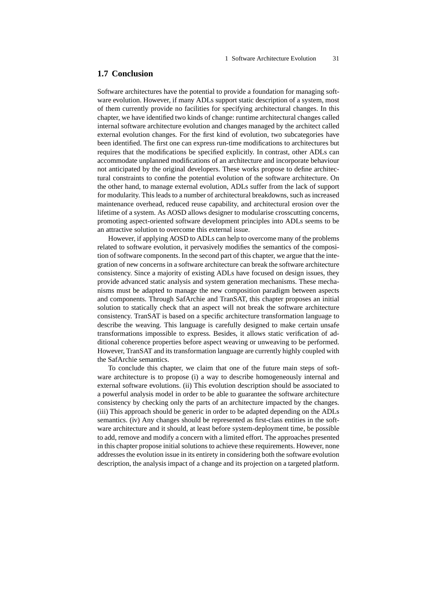# **1.7 Conclusion**

Software architectures have the potential to provide a foundation for managing software evolution. However, if many ADLs support static description of a system, most of them currently provide no facilities for specifying architectural changes. In this chapter, we have identified two kinds of change: runtime architectural changes called internal software architecture evolution and changes managed by the architect called external evolution changes. For the first kind of evolution, two subcategories have been identified. The first one can express run-time modifications to architectures but requires that the modifications be specified explicitly. In contrast, other ADLs can accommodate unplanned modifications of an architecture and incorporate behaviour not anticipated by the original developers. These works propose to define architectural constraints to confine the potential evolution of the software architecture. On the other hand, to manage external evolution, ADLs suffer from the lack of support for modularity. This leads to a number of architectural breakdowns, such as increased maintenance overhead, reduced reuse capability, and architectural erosion over the lifetime of a system. As AOSD allows designer to modularise crosscutting concerns, promoting aspect-oriented software development principles into ADLs seems to be an attractive solution to overcome this external issue.

However, if applying AOSD to ADLs can help to overcome many of the problems related to software evolution, it pervasively modifies the semantics of the composition of software components. In the second part of this chapter, we argue that the integration of new concerns in a software architecture can break the software architecture consistency. Since a majority of existing ADLs have focused on design issues, they provide advanced static analysis and system generation mechanisms. These mechanisms must be adapted to manage the new composition paradigm between aspects and components. Through SafArchie and TranSAT, this chapter proposes an initial solution to statically check that an aspect will not break the software architecture consistency. TranSAT is based on a specific architecture transformation language to describe the weaving. This language is carefully designed to make certain unsafe transformations impossible to express. Besides, it allows static verification of additional coherence properties before aspect weaving or unweaving to be performed. However, TranSAT and its transformation language are currently highly coupled with the SafArchie semantics.

To conclude this chapter, we claim that one of the future main steps of software architecture is to propose (i) a way to describe homogeneously internal and external software evolutions. (ii) This evolution description should be associated to a powerful analysis model in order to be able to guarantee the software architecture consistency by checking only the parts of an architecture impacted by the changes. (iii) This approach should be generic in order to be adapted depending on the ADLs semantics. (iv) Any changes should be represented as first-class entities in the software architecture and it should, at least before system-deployment time, be possible to add, remove and modify a concern with a limited effort. The approaches presented in this chapter propose initial solutions to achieve these requirements. However, none addresses the evolution issue in its entirety in considering both the software evolution description, the analysis impact of a change and its projection on a targeted platform.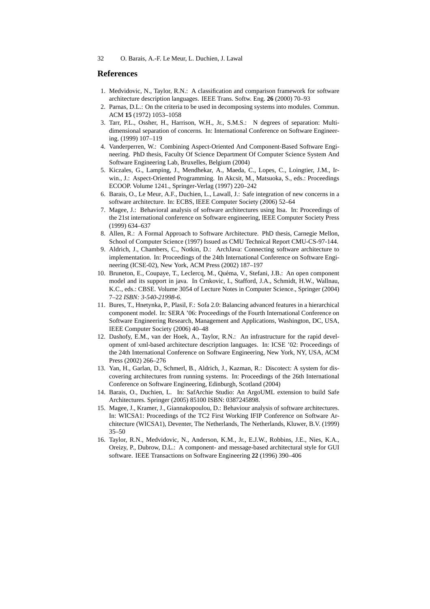# **References**

- 1. Medvidovic, N., Taylor, R.N.: A classification and comparison framework for software architecture description languages. IEEE Trans. Softw. Eng. **26** (2000) 70–93
- 2. Parnas, D.L.: On the criteria to be used in decomposing systems into modules. Commun. ACM **15** (1972) 1053–1058
- 3. Tarr, P.L., Ossher, H., Harrison, W.H., Jr., S.M.S.: N degrees of separation: Multidimensional separation of concerns. In: International Conference on Software Engineering. (1999) 107–119
- 4. Vanderperren, W.: Combining Aspect-Oriented And Component-Based Software Engineering. PhD thesis, Faculty Of Science Department Of Computer Science System And Software Engineering Lab, Bruxelles, Belgium (2004)
- 5. Kiczales, G., Lamping, J., Mendhekar, A., Maeda, C., Lopes, C., Loingtier, J.M., Irwin., J.: Aspect-Oriented Programming. In Akcsit, M., Matsuoka, S., eds.: Proceedings ECOOP. Volume 1241., Springer-Verlag (1997) 220–242
- 6. Barais, O., Le Meur, A.F., Duchien, L., Lawall, J.: Safe integration of new concerns in a software architecture. In: ECBS, IEEE Computer Society (2006) 52–64
- 7. Magee, J.: Behavioral analysis of software architectures using ltsa. In: Proceedings of the 21st international conference on Software engineering, IEEE Computer Society Press (1999) 634–637
- 8. Allen, R.: A Formal Approach to Software Architecture. PhD thesis, Carnegie Mellon, School of Computer Science (1997) Issued as CMU Technical Report CMU-CS-97-144.
- 9. Aldrich, J., Chambers, C., Notkin, D.: ArchJava: Connecting software architecture to implementation. In: Proceedings of the 24th International Conference on Software Engineering (ICSE-02), New York, ACM Press (2002) 187–197
- 10. Bruneton, E., Coupaye, T., Leclercq, M., Quema, V., Stefani, J.B.: An open component ´ model and its support in java. In Crnkovic, I., Stafford, J.A., Schmidt, H.W., Wallnau, K.C., eds.: CBSE. Volume 3054 of Lecture Notes in Computer Science., Springer (2004) 7–22 *ISBN: 3-540-21998-6*.
- 11. Bures, T., Hnetynka, P., Plasil, F.: Sofa 2.0: Balancing advanced features in a hierarchical component model. In: SERA '06: Proceedings of the Fourth International Conference on Software Engineering Research, Management and Applications, Washington, DC, USA, IEEE Computer Society (2006) 40–48
- 12. Dashofy, E.M., van der Hoek, A., Taylor, R.N.: An infrastructure for the rapid development of xml-based architecture description languages. In: ICSE '02: Proceedings of the 24th International Conference on Software Engineering, New York, NY, USA, ACM Press (2002) 266–276
- 13. Yan, H., Garlan, D., Schmerl, B., Aldrich, J., Kazman, R.: Discotect: A system for discovering architectures from running systems. In: Proceedings of the 26th International Conference on Software Engineering, Edinburgh, Scotland (2004)
- 14. Barais, O., Duchien, L. In: SafArchie Studio: An ArgoUML extension to build Safe Architectures. Springer (2005) 85100 ISBN: 0387245898.
- 15. Magee, J., Kramer, J., Giannakopoulou, D.: Behaviour analysis of software architectures. In: WICSA1: Proceedings of the TC2 First Working IFIP Conference on Software Architecture (WICSA1), Deventer, The Netherlands, The Netherlands, Kluwer, B.V. (1999) 35–50
- 16. Taylor, R.N., Medvidovic, N., Anderson, K.M., Jr., E.J.W., Robbins, J.E., Nies, K.A., Oreizy, P., Dubrow, D.L.: A component- and message-based architectural style for GUI software. IEEE Transactions on Software Engineering **22** (1996) 390–406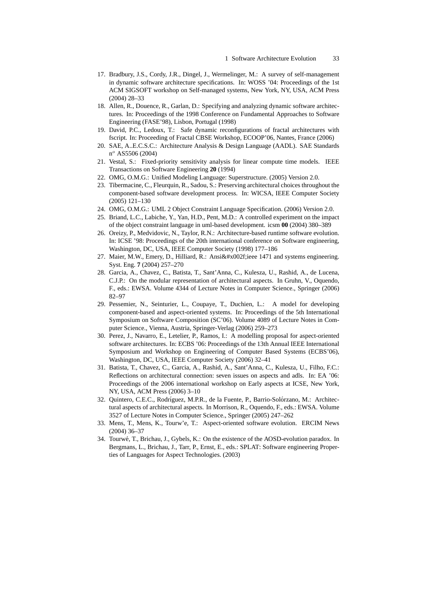- 17. Bradbury, J.S., Cordy, J.R., Dingel, J., Wermelinger, M.: A survey of self-management in dynamic software architecture specifications. In: WOSS '04: Proceedings of the 1st ACM SIGSOFT workshop on Self-managed systems, New York, NY, USA, ACM Press (2004) 28–33
- 18. Allen, R., Douence, R., Garlan, D.: Specifying and analyzing dynamic software architectures. In: Proceedings of the 1998 Conference on Fundamental Approaches to Software Engineering (FASE'98), Lisbon, Portugal (1998)
- 19. David, P.C., Ledoux, T.: Safe dynamic reconfigurations of fractal architectures with fscript. In: Proceeding of Fractal CBSE Workshop, ECOOP'06, Nantes, France (2006)
- 20. SAE, A..E.C.S.C.: Architecture Analysis & Design Language (AADL). SAE Standards n<sup>o</sup> AS5506 (2004)
- 21. Vestal, S.: Fixed-priority sensitivity analysis for linear compute time models. IEEE Transactions on Software Engineering **20** (1994)
- 22. OMG, O.M.G.: Unified Modeling Language: Superstructure. (2005) Version 2.0.
- 23. Tibermacine, C., Fleurquin, R., Sadou, S.: Preserving architectural choices throughout the component-based software development process. In: WICSA, IEEE Computer Society (2005) 121–130
- 24. OMG, O.M.G.: UML 2 Object Constraint Language Specification. (2006) Version 2.0.
- 25. Briand, L.C., Labiche, Y., Yan, H.D., Pent, M.D.: A controlled experiment on the impact of the object constraint language in uml-based development. icsm **00** (2004) 380–389
- 26. Oreizy, P., Medvidovic, N., Taylor, R.N.: Architecture-based runtime software evolution. In: ICSE '98: Proceedings of the 20th international conference on Software engineering, Washington, DC, USA, IEEE Computer Society (1998) 177–186
- 27. Maier, M.W., Emery, D., Hilliard, R.: Ansi/ieee 1471 and systems engineering. Syst. Eng. **7** (2004) 257–270
- 28. Garcia, A., Chavez, C., Batista, T., Sant'Anna, C., Kulesza, U., Rashid, A., de Lucena, C.J.P.: On the modular representation of architectural aspects. In Gruhn, V., Oquendo, F., eds.: EWSA. Volume 4344 of Lecture Notes in Computer Science., Springer (2006) 82–97
- 29. Pessemier, N., Seinturier, L., Coupaye, T., Duchien, L.: A model for developing component-based and aspect-oriented systems. In: Proceedings of the 5th International Symposium on Software Composition (SC'06). Volume 4089 of Lecture Notes in Computer Science., Vienna, Austria, Springer-Verlag (2006) 259–273
- 30. Perez, J., Navarro, E., Letelier, P., Ramos, I.: A modelling proposal for aspect-oriented software architectures. In: ECBS '06: Proceedings of the 13th Annual IEEE International Symposium and Workshop on Engineering of Computer Based Systems (ECBS'06), Washington, DC, USA, IEEE Computer Society (2006) 32–41
- 31. Batista, T., Chavez, C., Garcia, A., Rashid, A., Sant'Anna, C., Kulesza, U., Filho, F.C.: Reflections on architectural connection: seven issues on aspects and adls. In: EA '06: Proceedings of the 2006 international workshop on Early aspects at ICSE, New York, NY, USA, ACM Press (2006) 3–10
- 32. Quintero, C.E.C., Rodríguez, M.P.R., de la Fuente, P., Barrio-Solórzano, M.: Architectural aspects of architectural aspects. In Morrison, R., Oquendo, F., eds.: EWSA. Volume 3527 of Lecture Notes in Computer Science., Springer (2005) 247–262
- 33. Mens, T., Mens, K., Tourw'e, T.: Aspect-oriented software evolution. ERCIM News (2004) 36–37
- 34. Tourwé, T., Brichau, J., Gybels, K.: On the existence of the AOSD-evolution paradox. In Bergmans, L., Brichau, J., Tarr, P., Ernst, E., eds.: SPLAT: Software engineering Properties of Languages for Aspect Technologies. (2003)